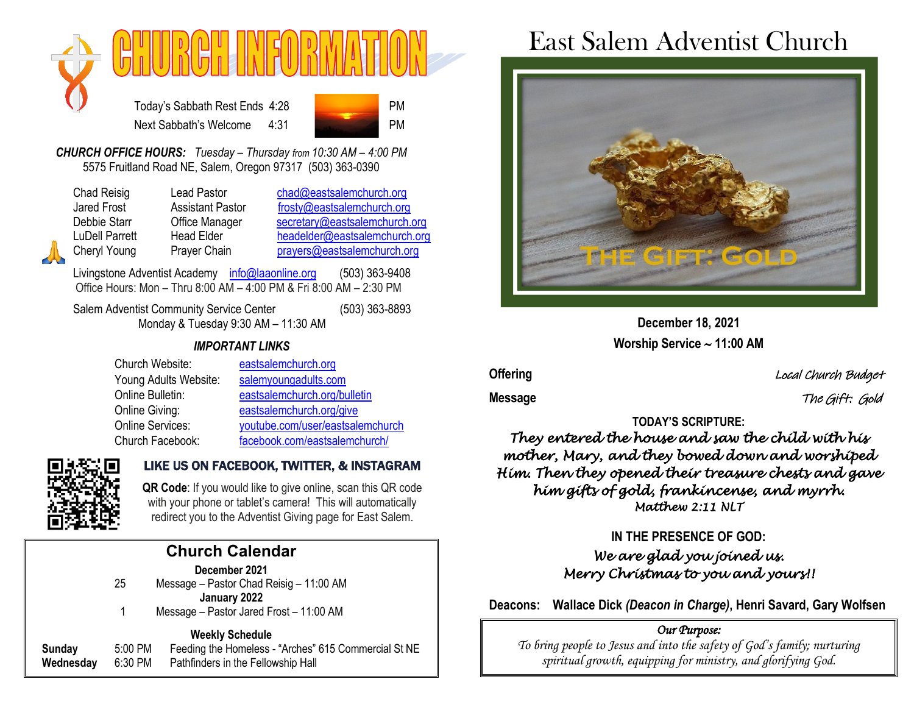

Today's Sabbath Rest Ends 4:28 Next Sabbath's Welcome 4:31



*CHURCH OFFICE HOURS: Tuesday – Thursday from 10:30 AM – 4:00 PM* 5575 Fruitland Road NE, Salem, Oregon 97317 (503) 363-0390

Chad Reisig Lead Pastor [chad@eastsalemchurch.org](mailto:chad@eastsalemchurch.org) Jared Frost Assistant Pastor [frosty@eastsalemchurch.org](mailto:frosty@eastsalemchurch.org) Debbie Starr Cffice Manager [secretary@eastsalemchurch.org](mailto:secretary@eastsalemchurch.org) LuDell Parrett Head Elder [headelder@eastsalemchurch.org](mailto:headelder@eastsalemchurch.org) Cheryl Young Prayer Chain [prayers@eastsalemchurch.org](mailto:prayers@eastsalemchurch.org)

Livingstone Adventist Academy [info@laaonline.org](mailto:info@laaonline.org) (503) 363-9408 Office Hours: Mon – Thru 8:00 AM – 4:00 PM & Fri 8:00 AM – 2:30 PM

Salem Adventist Community Service Center (503) 363-8893 Monday & Tuesday 9:30 AM – 11:30 AM

#### *IMPORTANT LINKS*

| Church Website:         | eastsalemchurch.org              |
|-------------------------|----------------------------------|
| Young Adults Website:   | salemyoungadults.com             |
| Online Bulletin:        | eastsalemchurch.org/bulletin     |
| Online Giving:          | eastsalemchurch.org/give         |
| <b>Online Services:</b> | youtube.com/user/eastsalemchurch |
| Church Facebook:        | facebook.com/eastsalemchurch/    |



### LIKE US ON FACEBOOK, TWITTER, & INSTAGRAM

**QR Code**: If you would like to give online, scan this QR code with your phone or tablet's camera! This will automatically redirect you to the Adventist Giving page for East Salem.

| <b>Church Calendar</b> |                                                                                                                                                                                                                                |  |
|------------------------|--------------------------------------------------------------------------------------------------------------------------------------------------------------------------------------------------------------------------------|--|
|                        | December 2021                                                                                                                                                                                                                  |  |
| 25                     | Message - Pastor Chad Reisig - 11:00 AM                                                                                                                                                                                        |  |
|                        | January 2022                                                                                                                                                                                                                   |  |
| 1                      | Message - Pastor Jared Frost - 11:00 AM                                                                                                                                                                                        |  |
|                        | Wales and the Company of the Company of the U.S. of the U.S. of the U.S. of the U.S. of the U.S. of the U.S. of the U.S. of the U.S. of the U.S. of the U.S. of the U.S. of the U.S. of the U.S. of the U.S. of the U.S. of th |  |

#### **Weekly Schedule Sunday** 5:00 PM Feeding the Homeless - "Arches" 615 Commercial St NE **Wednesday** 6:30 PM Pathfinders in the Fellowship Hall

# East Salem Adventist Church



**December 18, 2021 Worship Service 11:00 AM**

**Offering** Local Church Budget

**Message** The Gift: Gold

## **TODAY'S SCRIPTURE:**

*They entered the house and saw the child with his mother, Mary, and they bowed down and worshiped Him. Then they opened their treasure chests and gave him gifts of gold, frankincense, and myrrh. Matthew 2:11 NLT* 

### **IN THE PRESENCE OF GOD:**  *We are glad you joined us. Merry Christmas to you and yours!!*

**Deacons: Wallace Dick** *(Deacon in Charge)***, Henri Savard, Gary Wolfsen**

#### *Our Purpose:*

*To bring people to Jesus and into the safety of God's family; nurturing spiritual growth, equipping for ministry, and glorifying God.*